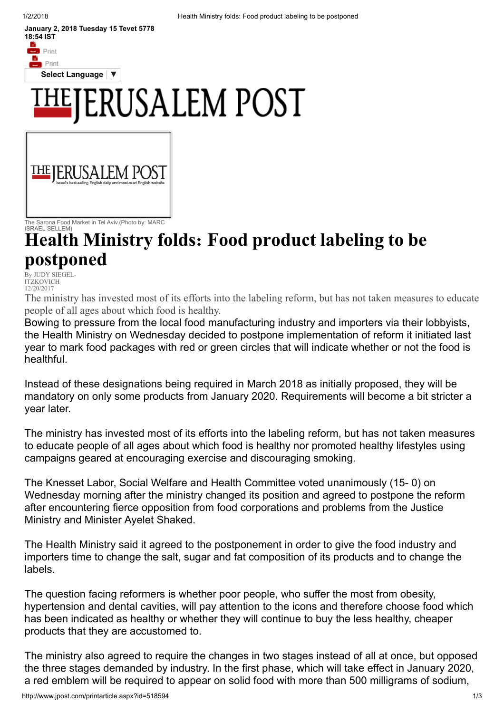$\overline{\phantom{a}}$  Print

January 2, 2018 Tuesday 15 Tevet 5778 18:54 IST **B**<br>Content

Select [Language](javascript:void(0)) |  $\blacktriangledown$ 

## **ERUSALEM POST**



ISRAEL SELLEM)

## Health Ministry folds: Food product labeling to be postponed

 $Bv$  JUDY SIEGEL-**ITZKOVICH** 12/20/2017

The ministry has invested most of its efforts into the labeling reform, but has not taken measures to educate people of all ages about which food is healthy.

Bowing to pressure from the local food manufacturing industry and importers via their lobbyists, the Health Ministry on Wednesday decided to postpone implementation of reform it initiated last year to mark food packages with red or green circles that will indicate whether or not the food is healthful.

Instead of these designations being required in March 2018 as initially proposed, they will be mandatory on only some products from January 2020. Requirements will become a bit stricter a year later.

The ministry has invested most of its efforts into the labeling reform, but has not taken measures to educate people of all ages about which food is healthy nor promoted healthy lifestyles using campaigns geared at encouraging exercise and discouraging smoking.

The Knesset Labor, Social Welfare and Health Committee voted unanimously (15- 0) on Wednesday morning after the ministry changed its position and agreed to postpone the reform after encountering fierce opposition from food corporations and problems from the Justice Ministry and Minister Ayelet Shaked.

The Health Ministry said it agreed to the postponement in order to give the food industry and importers time to change the salt, sugar and fat composition of its products and to change the labels.

The question facing reformers is whether poor people, who suffer the most from obesity, hypertension and dental cavities, will pay attention to the icons and therefore choose food which has been indicated as healthy or whether they will continue to buy the less healthy, cheaper products that they are accustomed to.

The ministry also agreed to require the changes in two stages instead of all at once, but opposed the three stages demanded by industry. In the first phase, which will take effect in January 2020, a red emblem will be required to appear on solid food with more than 500 milligrams of sodium,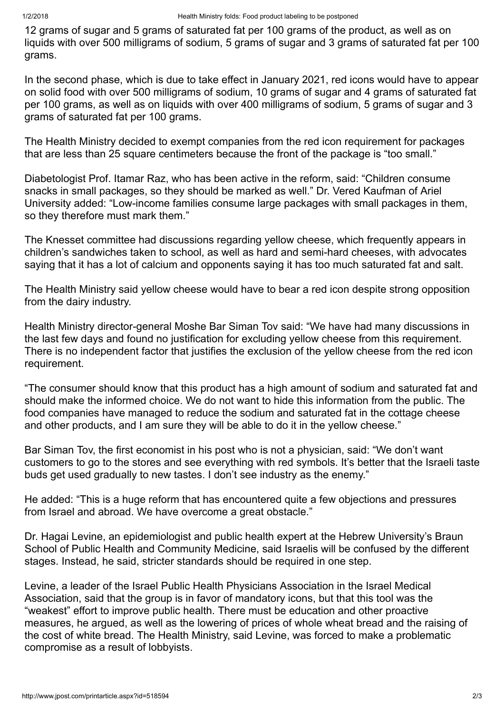12 grams of sugar and 5 grams of saturated fat per 100 grams of the product, as well as on liquids with over 500 milligrams of sodium, 5 grams of sugar and 3 grams of saturated fat per 100 grams.

In the second phase, which is due to take effect in January 2021, red icons would have to appear on solid food with over 500 milligrams of sodium, 10 grams of sugar and 4 grams of saturated fat per 100 grams, as well as on liquids with over 400 milligrams of sodium, 5 grams of sugar and 3 grams of saturated fat per 100 grams.

The Health Ministry decided to exempt companies from the red icon requirement for packages that are less than 25 square centimeters because the front of the package is "too small."

Diabetologist Prof. Itamar Raz, who has been active in the reform, said: "Children consume snacks in small packages, so they should be marked as well." Dr. Vered Kaufman of Ariel University added: "Low-income families consume large packages with small packages in them, so they therefore must mark them."

The Knesset committee had discussions regarding yellow cheese, which frequently appears in children's sandwiches taken to school, as well as hard and semi-hard cheeses, with advocates saying that it has a lot of calcium and opponents saying it has too much saturated fat and salt.

The Health Ministry said yellow cheese would have to bear a red icon despite strong opposition from the dairy industry.

Health Ministry director-general Moshe Bar Siman Tov said: "We have had many discussions in the last few days and found no justification for excluding yellow cheese from this requirement. There is no independent factor that justifies the exclusion of the yellow cheese from the red icon requirement.

"The consumer should know that this product has a high amount of sodium and saturated fat and should make the informed choice. We do not want to hide this information from the public. The food companies have managed to reduce the sodium and saturated fat in the cottage cheese and other products, and I am sure they will be able to do it in the yellow cheese."

Bar Siman Tov, the first economist in his post who is not a physician, said: "We don't want customers to go to the stores and see everything with red symbols. It's better that the Israeli taste buds get used gradually to new tastes. I don't see industry as the enemy."

He added: "This is a huge reform that has encountered quite a few objections and pressures from Israel and abroad. We have overcome a great obstacle."

Dr. Hagai Levine, an epidemiologist and public health expert at the Hebrew University's Braun School of Public Health and Community Medicine, said Israelis will be confused by the different stages. Instead, he said, stricter standards should be required in one step.

Levine, a leader of the Israel Public Health Physicians Association in the Israel Medical Association, said that the group is in favor of mandatory icons, but that this tool was the "weakest" effort to improve public health. There must be education and other proactive measures, he argued, as well as the lowering of prices of whole wheat bread and the raising of the cost of white bread. The Health Ministry, said Levine, was forced to make a problematic compromise as a result of lobbyists.